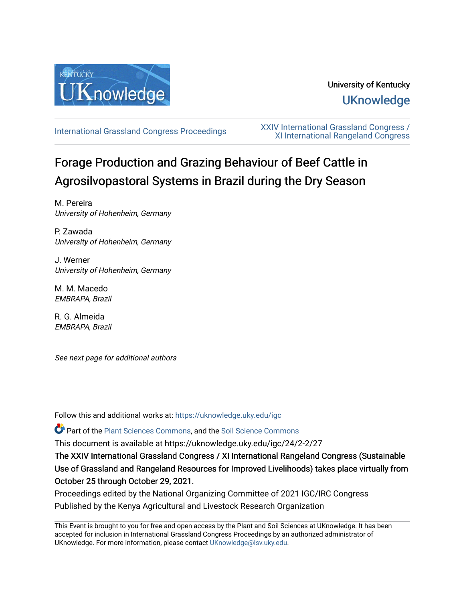

# University of Kentucky **UKnowledge**

[International Grassland Congress Proceedings](https://uknowledge.uky.edu/igc) [XXIV International Grassland Congress /](https://uknowledge.uky.edu/igc/24)  [XI International Rangeland Congress](https://uknowledge.uky.edu/igc/24) 

# Forage Production and Grazing Behaviour of Beef Cattle in Agrosilvopastoral Systems in Brazil during the Dry Season

M. Pereira University of Hohenheim, Germany

P. Zawada University of Hohenheim, Germany

J. Werner University of Hohenheim, Germany

M. M. Macedo EMBRAPA, Brazil

R. G. Almeida EMBRAPA, Brazil

See next page for additional authors

Follow this and additional works at: [https://uknowledge.uky.edu/igc](https://uknowledge.uky.edu/igc?utm_source=uknowledge.uky.edu%2Figc%2F24%2F2-2%2F27&utm_medium=PDF&utm_campaign=PDFCoverPages) 

Part of the [Plant Sciences Commons](http://network.bepress.com/hgg/discipline/102?utm_source=uknowledge.uky.edu%2Figc%2F24%2F2-2%2F27&utm_medium=PDF&utm_campaign=PDFCoverPages), and the [Soil Science Commons](http://network.bepress.com/hgg/discipline/163?utm_source=uknowledge.uky.edu%2Figc%2F24%2F2-2%2F27&utm_medium=PDF&utm_campaign=PDFCoverPages) 

This document is available at https://uknowledge.uky.edu/igc/24/2-2/27

The XXIV International Grassland Congress / XI International Rangeland Congress (Sustainable Use of Grassland and Rangeland Resources for Improved Livelihoods) takes place virtually from October 25 through October 29, 2021.

Proceedings edited by the National Organizing Committee of 2021 IGC/IRC Congress Published by the Kenya Agricultural and Livestock Research Organization

This Event is brought to you for free and open access by the Plant and Soil Sciences at UKnowledge. It has been accepted for inclusion in International Grassland Congress Proceedings by an authorized administrator of UKnowledge. For more information, please contact [UKnowledge@lsv.uky.edu](mailto:UKnowledge@lsv.uky.edu).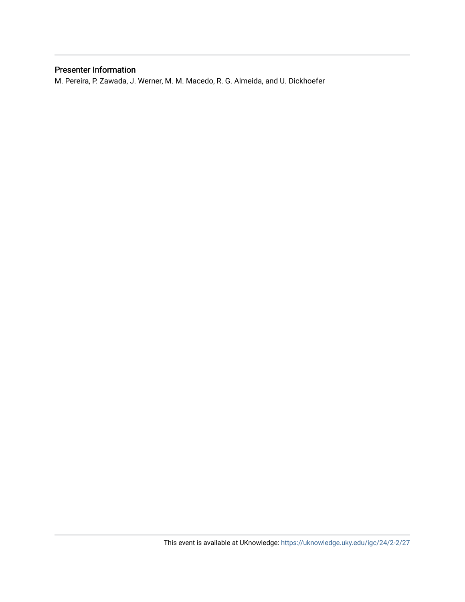## Presenter Information

M. Pereira, P. Zawada, J. Werner, M. M. Macedo, R. G. Almeida, and U. Dickhoefer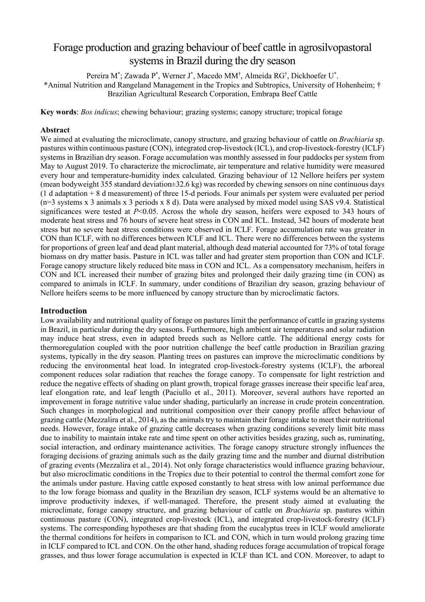## Forage production and grazing behaviour of beef cattle in agrosilvopastoral systems in Brazil during the dry season

Pereira M\* ; Zawada P\* , Werner J\* , Macedo MM† , Almeida RG† , Dickhoefer U\* . \*Animal Nutrition and Rangeland Management in the Tropics and Subtropics, University of Hohenheim; † Brazilian Agricultural Research Corporation, Embrapa Beef Cattle

**Key words**: *Bos indicus*; chewing behaviour; grazing systems; canopy structure; tropical forage

#### **Abstract**

We aimed at evaluating the microclimate, canopy structure, and grazing behaviour of cattle on *Brachiaria* sp. pastures within continuous pasture (CON), integrated crop-livestock (ICL), and crop-livestock-forestry (ICLF) systems in Brazilian dry season. Forage accumulation was monthly assessed in four paddocks per system from May to August 2019. To characterize the microclimate, air temperature and relative humidity were measured every hour and temperature-humidity index calculated. Grazing behaviour of 12 Nellore heifers per system (mean bodyweight 355 standard deviation±32.6 kg) was recorded by chewing sensors on nine continuous days (1 d adaptation + 8 d measurement) of three 15-d periods. Four animals per system were evaluated per period (n=3 systems x 3 animals x 3 periods x 8 d). Data were analysed by mixed model using SAS v9.4. Statistical significances were tested at *P*<0.05. Across the whole dry season, heifers were exposed to 343 hours of moderate heat stress and 76 hours of severe heat stress in CON and ICL. Instead, 342 hours of moderate heat stress but no severe heat stress conditions were observed in ICLF. Forage accumulation rate was greater in CON than ICLF, with no differences between ICLF and ICL. There were no differences between the systems for proportions of green leaf and dead plant material, although dead material accounted for 73% of total forage biomass on dry matter basis. Pasture in ICL was taller and had greater stem proportion than CON and ICLF. Forage canopy structure likely reduced bite mass in CON and ICL. As a compensatory mechanism, heifers in CON and ICL increased their number of grazing bites and prolonged their daily grazing time (in CON) as compared to animals in ICLF. In summary, under conditions of Brazilian dry season, grazing behaviour of Nellore heifers seems to be more influenced by canopy structure than by microclimatic factors.

#### **Introduction**

Low availability and nutritional quality of forage on pastures limit the performance of cattle in grazing systems in Brazil, in particular during the dry seasons. Furthermore, high ambient air temperatures and solar radiation may induce heat stress, even in adapted breeds such as Nellore cattle. The additional energy costs for thermoregulation coupled with the poor nutrition challenge the beef cattle production in Brazilian grazing systems, typically in the dry season. Planting trees on pastures can improve the microclimatic conditions by reducing the environmental heat load. In integrated crop-livestock-forestry systems (ICLF), the arboreal component reduces solar radiation that reaches the forage canopy. To compensate for light restriction and reduce the negative effects of shading on plant growth, tropical forage grasses increase their specific leaf area, leaf elongation rate, and leaf length (Paciullo et al., 2011). Moreover, several authors have reported an improvement in forage nutritive value under shading, particularly an increase in crude protein concentration. Such changes in morphological and nutritional composition over their canopy profile affect behaviour of grazing cattle (Mezzalira et al., 2014), as the animals try to maintain their forage intake to meet their nutritional needs. However, forage intake of grazing cattle decreases when grazing conditions severely limit bite mass due to inability to maintain intake rate and time spent on other activities besides grazing, such as, ruminating, social interaction, and ordinary maintenance activities. The forage canopy structure strongly influences the foraging decisions of grazing animals such as the daily grazing time and the number and diurnal distribution of grazing events (Mezzalira et al., 2014). Not only forage characteristics would influence grazing behaviour, but also microclimatic conditions in the Tropics due to their potential to control the thermal comfort zone for the animals under pasture. Having cattle exposed constantly to heat stress with low animal performance due to the low forage biomass and quality in the Brazilian dry season, ICLF systems would be an alternative to improve productivity indexes, if well-managed. Therefore, the present study aimed at evaluating the microclimate, forage canopy structure, and grazing behaviour of cattle on *Brachiaria* sp. pastures within continuous pasture (CON), integrated crop-livestock (ICL), and integrated crop-livestock-forestry (ICLF) systems. The corresponding hypotheses are that shading from the eucalyptus trees in ICLF would ameliorate the thermal conditions for heifers in comparison to ICL and CON, which in turn would prolong grazing time in ICLF compared to ICL and CON. On the other hand, shading reduces forage accumulation of tropical forage grasses, and thus lower forage accumulation is expected in ICLF than ICL and CON. Moreover, to adapt to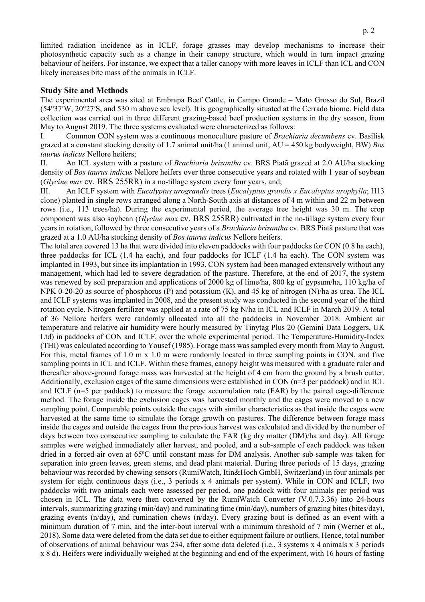limited radiation incidence as in ICLF, forage grasses may develop mechanisms to increase their photosynthetic capacity such as a change in their canopy structure, which would in turn impact grazing behaviour of heifers. For instance, we expect that a taller canopy with more leaves in ICLF than ICL and CON likely increases bite mass of the animals in ICLF.

#### **Study Site and Methods**

The experimental area was sited at Embrapa Beef Cattle, in Campo Grande – Mato Grosso do Sul, Brazil (54°37′W, 20°27′S, and 530 m above sea level). It is geographically situated at the Cerrado biome. Field data collection was carried out in three different grazing-based beef production systems in the dry season, from May to August 2019. The three systems evaluated were characterized as follows:

I. Common CON system was a continuous monoculture pasture of *Brachiaria decumbens* cv. Basilisk grazed at a constant stocking density of 1.7 animal unit/ha (1 animal unit, AU = 450 kg bodyweight, BW) *Bos taurus indicus* Nellore heifers;

II. An ICL system with a pasture of *Brachiaria brizantha* cv. BRS Piatã grazed at 2.0 AU/ha stocking density of *Bos taurus indicus* Nellore heifers over three consecutive years and rotated with 1 year of soybean (*Glycine max* cv. BRS 255RR) in a no-tillage system every four years, and;

III. An ICLF system with *Eucalyptus urograndis* trees (*Eucalyptus grandis x Eucalyptus urophylla*; H13 clone) planted in single rows arranged along a North-South axis at distances of 4 m within and 22 m between rows (i.e., 113 trees/ha). During the experimental period, the average tree height was 30 m. The crop component was also soybean (*Glycine max* cv. BRS 255RR) cultivated in the no-tillage system every four years in rotation, followed by three consecutive years of a *Brachiaria brizantha* cv. BRS Piatã pasture that was grazed at a 1.0 AU/ha stocking density of *Bos taurus indicus* Nellore heifers.

The total area covered 13 ha that were divided into eleven paddocks with four paddocks for CON (0.8 ha each), three paddocks for ICL (1.4 ha each), and four paddocks for ICLF (1.4 ha each). The CON system was implanted in 1993, but since its implantation in 1993, CON system had been managed extensively without any management, which had led to severe degradation of the pasture. Therefore, at the end of 2017, the system was renewed by soil preparation and applications of 2000 kg of lime/ha, 800 kg of gypsum/ha, 110 kg/ha of NPK 0-20-20 as source of phosphorus (P) and potassium (K), and 45 kg of nitrogen (N)/ha as urea. The ICL and ICLF systems was implanted in 2008, and the present study was conducted in the second year of the third rotation cycle. Nitrogen fertilizer was applied at a rate of 75 kg N/ha in ICL and ICLF in March 2019. A total of 36 Nellore heifers were randomly allocated into all the paddocks in November 2018. Ambient air temperature and relative air humidity were hourly measured by Tinytag Plus 20 (Gemini Data Loggers, UK Ltd) in paddocks of CON and ICLF, over the whole experimental period. The Temperature-Humidity-Index (THI) was calculated according to Yousef (1985). Forage mass was sampled every month from May to August. For this, metal frames of 1.0 m x 1.0 m were randomly located in three sampling points in CON, and five sampling points in ICL and ICLF. Within these frames, canopy height was measured with a graduate ruler and thereafter above-ground forage mass was harvested at the height of 4 cm from the ground by a brush cutter. Additionally, exclusion cages of the same dimensions were established in CON  $(n=3$  per paddock) and in ICL and ICLF (n=5 per paddock) to measure the forage accumulation rate (FAR) by the paired cage-difference method. The forage inside the exclusion cages was harvested monthly and the cages were moved to a new sampling point. Comparable points outside the cages with similar characteristics as that inside the cages were harvested at the same time to simulate the forage growth on pastures. The difference between forage mass inside the cages and outside the cages from the previous harvest was calculated and divided by the number of days between two consecutive sampling to calculate the FAR (kg dry matter (DM)/ha and day). All forage samples were weighed immediately after harvest, and pooled, and a sub-sample of each paddock was taken dried in a forced-air oven at 65ºC until constant mass for DM analysis. Another sub-sample was taken for separation into green leaves, green stems, and dead plant material. During three periods of 15 days, grazing behaviour was recorded by chewing sensors (RumiWatch, Itin&Hoch GmbH, Switzerland) in four animals per system for eight continuous days (i.e., 3 periods x 4 animals per system). While in CON and ICLF, two paddocks with two animals each were assessed per period, one paddock with four animals per period was chosen in ICL. The data were then converted by the RumiWatch Converter (V.0.7.3.36) into 24-hours intervals, summarizing grazing (min/day) and ruminating time (min/day), numbers of grazing bites (bites/day), grazing events (n/day), and rumination chews (n/day). Every grazing bout is defined as an event with a minimum duration of 7 min, and the inter-bout interval with a minimum threshold of 7 min (Werner et al., 2018). Some data were deleted from the data set due to either equipment failure or outliers. Hence, total number of observations of animal behaviour was 234, after some data deleted (i.e., 3 systems x 4 animals x 3 periods x 8 d). Heifers were individually weighed at the beginning and end of the experiment, with 16 hours of fasting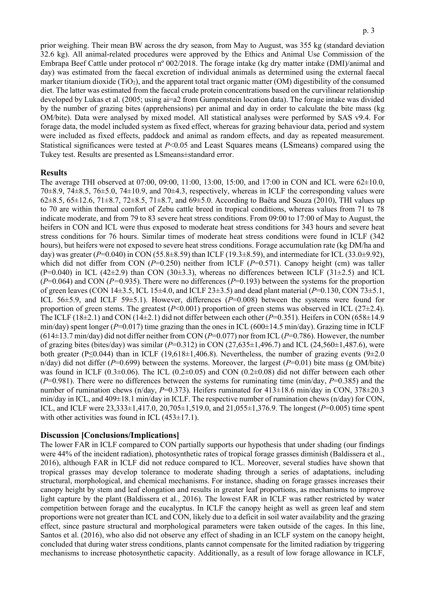prior weighing. Their mean BW across the dry season, from May to August, was 355 kg (standard deviation 32.6 kg). All animal-related procedures were approved by the Ethics and Animal Use Commission of the Embrapa Beef Cattle under protocol nº 002/2018. The forage intake (kg dry matter intake (DMI)/animal and day) was estimated from the faecal excretion of individual animals as determined using the external faecal marker titanium dioxide (TiO<sub>2</sub>), and the apparent total tract organic matter (OM) digestibility of the consumed diet. The latter was estimated from the faecal crude protein concentrations based on the curvilinear relationship developed by Lukas et al. (2005; using ai=a2 from Gumpenstein location data). The forage intake was divided by the number of grazing bites (apprehensions) per animal and day in order to calculate the bite mass (kg OM/bite). Data were analysed by mixed model. All statistical analyses were performed by SAS v9.4. For forage data, the model included system as fixed effect, whereas for grazing behaviour data, period and system were included as fixed effects, paddock and animal as random effects, and day as repeated measurement. Statistical significances were tested at *P*<0.05 and Least Squares means (LSmeans) compared using the Tukey test. Results are presented as LSmeans±standard error.

#### **Results**

The average THI observed at 07:00, 09:00, 11:00, 13:00, 15:00, and 17:00 in CON and ICL were 62±10.0, 70 $\pm$ 8.9, 74 $\pm$ 8.5, 76 $\pm$ 5.0, 74 $\pm$ 10.9, and 70 $\pm$ 4.3, respectively, whereas in ICLF the corresponding values were 62 $\pm$ 8.5, 65 $\pm$ 12.6, 71 $\pm$ 8.7, 72 $\pm$ 8.5, 71 $\pm$ 8.7, and 69 $\pm$ 5.0. According to Baêta and Souza (2010), THI values up to 70 are within thermal comfort of Zebu cattle breed in tropical conditions, whereas values from 71 to 78 indicate moderate, and from 79 to 83 severe heat stress conditions. From 09:00 to 17:00 of May to August, the heifers in CON and ICL were thus exposed to moderate heat stress conditions for 343 hours and severe heat stress conditions for 76 hours. Similar times of moderate heat stress conditions were found in ICLF (342 hours), but heifers were not exposed to severe heat stress conditions. Forage accumulation rate (kg DM/ha and day) was greater (*P*=0.040) in CON (55.8±8.59) than ICLF (19.3±8.59), and intermediate for ICL (33.0±9.92), which did not differ from CON (*P*=0.250) neither from ICLF (*P*=0.571). Canopy height (cm) was taller  $(P=0.040)$  in ICL  $(42\pm2.9)$  than CON  $(30\pm3.3)$ , whereas no differences between ICLF  $(31\pm2.5)$  and ICL (*P*=0.064) and CON (*P=*0.935). There were no differences (*P*=0.193) between the systems for the proportion of green leaves (CON 14±3.5, ICL 15±4.0, and ICLF 23±3.5) and dead plant material (*P*=0.130, CON 73±5.1, ICL 56±5.9, and ICLF 59±5.1). However, differences (*P*=0.008) between the systems were found for proportion of green stems. The greatest  $(P<0.001)$  proportion of green stems was observed in ICL (27 $\pm$ 2.4). The ICLF  $(18\pm2.1)$  and CON  $(14\pm2.1)$  did not differ between each other  $(P=0.351)$ . Heifers in CON  $(658\pm14.9)$ min/day) spent longer ( $P=0.017$ ) time grazing than the ones in ICL ( $600\pm14.5$  min/day). Grazing time in ICLF (614±13.7 min/day) did not differ neither from CON (*P*=0.077) nor from ICL (*P*=0.786). However, the number of grazing bites (bites/day) was similar (*P*=0.312) in CON (27,635±1,496.7) and ICL (24,560±1,487.6), were both greater (P≤0.044) than in ICLF (19,618±1,406.8). Nevertheless, the number of grazing events (9±2.0 n/day) did not differ (*P*=0.699) between the systems. Moreover, the largest (*P*=0.01) bite mass (g OM/bite) was found in ICLF (0.3 $\pm$ 0.06). The ICL (0.2 $\pm$ 0.05) and CON (0.2 $\pm$ 0.08) did not differ between each other (*P*=0.981). There were no differences between the systems for ruminating time (min/day, *P*=0.385) and the number of rumination chews (n/day, *P*=0.373). Heifers ruminated for 413 $\pm$ 18.6 min/day in CON, 378 $\pm$ 20.3 min/day in ICL, and 409±18.1 min/day in ICLF. The respective number of rumination chews (n/day) for CON, ICL, and ICLF were 23,333±1,417.0, 20,705±1,519.0, and 21,055±1,376.9. The longest (*P*=0.005) time spent with other activities was found in ICL  $(453\pm17.1)$ .

## **Discussion [Conclusions/Implications]**

The lower FAR in ICLF compared to CON partially supports our hypothesis that under shading (our findings were 44% of the incident radiation), photosynthetic rates of tropical forage grasses diminish (Baldissera et al., 2016), although FAR in ICLF did not reduce compared to ICL. Moreover, several studies have shown that tropical grasses may develop tolerance to moderate shading through a series of adaptations, including structural, morphological, and chemical mechanisms. For instance, shading on forage grasses increases their canopy height by stem and leaf elongation and results in greater leaf proportions, as mechanisms to improve light capture by the plant (Baldissera et al., 2016). The lowest FAR in ICLF was rather restricted by water competition between forage and the eucalyptus. In ICLF the canopy height as well as green leaf and stem proportions were not greater than ICL and CON, likely due to a deficit in soil water availability and the grazing effect, since pasture structural and morphological parameters were taken outside of the cages. In this line, Santos et al. (2016), who also did not observe any effect of shading in an ICLF system on the canopy height, concluded that during water stress conditions, plants cannot compensate for the limited radiation by triggering mechanisms to increase photosynthetic capacity. Additionally, as a result of low forage allowance in ICLF,